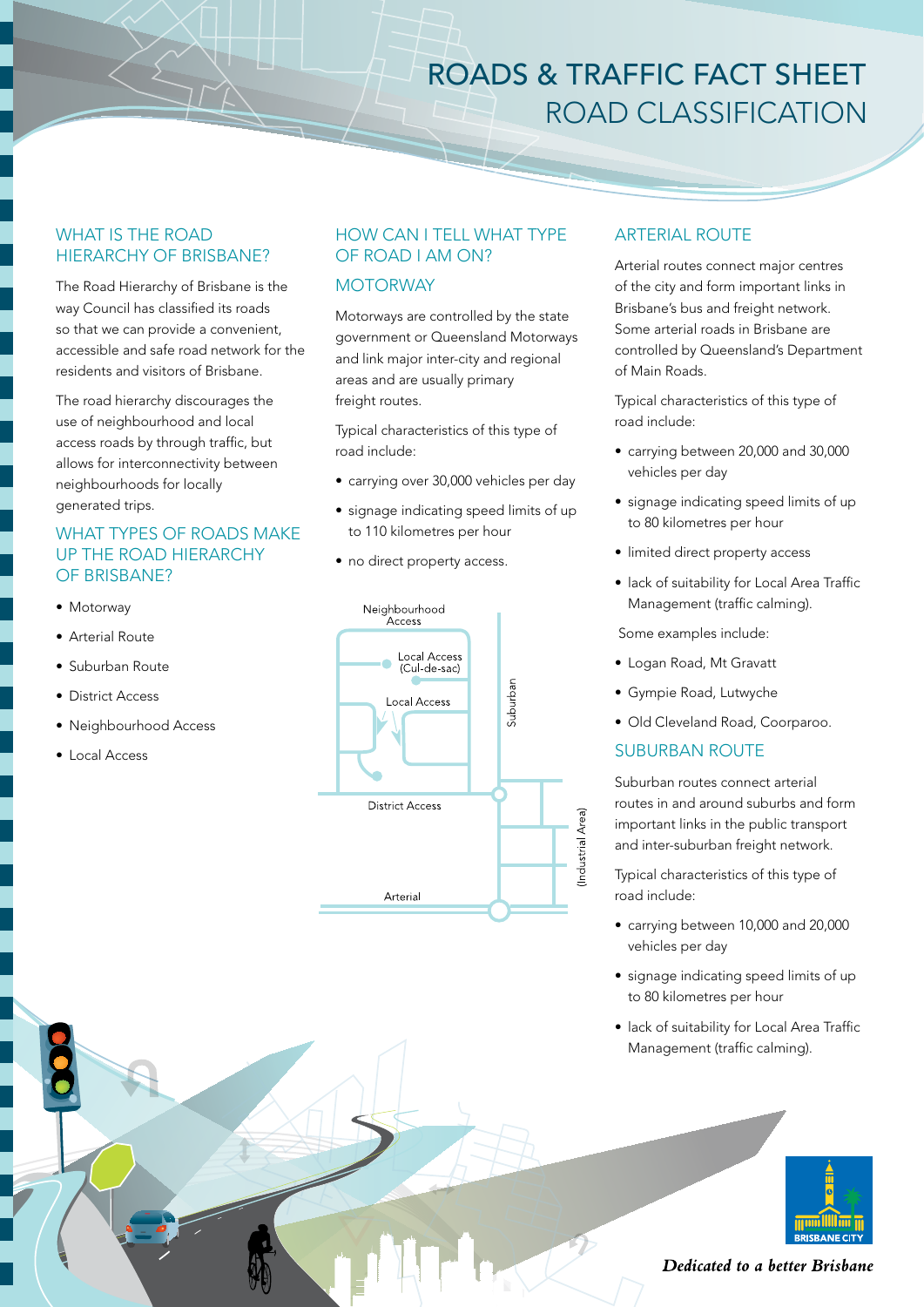# ROADS & TRAFFIC FACT SHEET ROAD CLASSIFICATION

# WHAT IS THE ROAD HIERARCHY OF BRISBANE?

The Road Hierarchy of Brisbane is the way Council has classified its roads so that we can provide a convenient, accessible and safe road network for the residents and visitors of Brisbane.

The road hierarchy discourages the use of neighbourhood and local access roads by through traffic, but allows for interconnectivity between neighbourhoods for locally generated trips.

# WHAT TYPES OF ROADS MAKE UP THE ROAD HIERARCHY OF BRISBANE?

- Motorway
- Arterial Route
- Suburban Route
- District Access
- Neighbourhood Access
- • Local Access

# HOW CAN I TELL WHAT TYPE OF ROAD I AM ON?

### **MOTORWAY**

Motorways are controlled by the state government or Queensland Motorways and link major inter-city and regional areas and are usually primary freight routes.

Typical characteristics of this type of road include:

- carrying over 30,000 vehicles per day
- signage indicating speed limits of up to 110 kilometres per hour
- no direct property access.



## ARTERIAL ROUTE

Arterial routes connect major centres of the city and form important links in Brisbane's bus and freight network. Some arterial roads in Brisbane are controlled by Queensland's Department of Main Roads.

Typical characteristics of this type of road include:

- carrying between 20,000 and 30,000 vehicles per day
- signage indicating speed limits of up to 80 kilometres per hour
- limited direct property access
- lack of suitability for Local Area Traffic Management (traffic calming).

Some examples include:

- Logan Road, Mt Gravatt
- • Gympie Road, Lutwyche
- Old Cleveland Road, Coorparoo.

### SUBURBAN ROUTE

Suburban routes connect arterial routes in and around suburbs and form important links in the public transport and inter-suburban freight network.

Typical characteristics of this type of road include:

- carrying between 10,000 and 20,000 vehicles per day
- signage indicating speed limits of up to 80 kilometres per hour
- lack of suitability for Local Area Traffic Management (traffic calming).



Dedicated to a better Brisbane